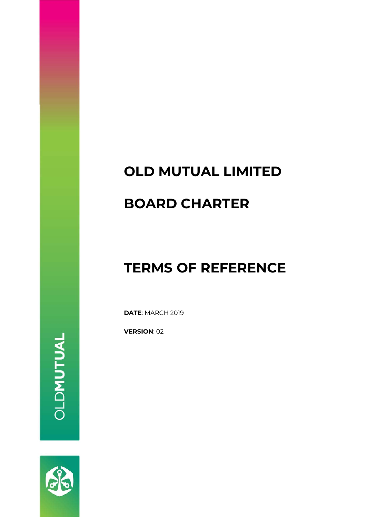## **OLD MUTUAL LIMITED**

### **BOARD CHARTER**

## **TERMS OF REFERENCE**

**DATE**: MARCH 2019

**VERSION**: 02

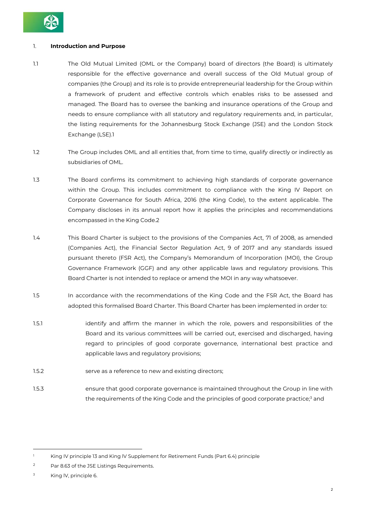

#### 1. **Introduction and Purpose**

- 1.1 The Old Mutual Limited (OML or the Company) board of directors (the Board) is ultimately responsible for the effective governance and overall success of the Old Mutual group of companies (the Group) and its role is to provide entrepreneurial leadership for the Group within a framework of prudent and effective controls which enables risks to be assessed and managed. The Board has to oversee the banking and insurance operations of the Group and needs to ensure compliance with all statutory and regulatory requirements and, in particular, the listing requirements for the Johannesburg Stock Exchange (JSE) and the London Stock Exchange (LSE).1
- 1.2 The Group includes OML and all entities that, from time to time, qualify directly or indirectly as subsidiaries of OML.
- 1.3 The Board confirms its commitment to achieving high standards of corporate governance within the Group. This includes commitment to compliance with the King IV Report on Corporate Governance for South Africa, 2016 (the King Code), to the extent applicable. The Company discloses in its annual report how it applies the principles and recommendations encompassed in the King Code.2
- 1.4 This Board Charter is subject to the provisions of the Companies Act, 71 of 2008, as amended (Companies Act), the Financial Sector Regulation Act, 9 of 2017 and any standards issued pursuant thereto (FSR Act), the Company's Memorandum of Incorporation (MOI), the Group Governance Framework (GGF) and any other applicable laws and regulatory provisions. This Board Charter is not intended to replace or amend the MOI in any way whatsoever.
- 1.5 In accordance with the recommendations of the King Code and the FSR Act, the Board has adopted this formalised Board Charter. This Board Charter has been implemented in order to:
- 1.5.1 identify and affirm the manner in which the role, powers and responsibilities of the Board and its various committees will be carried out, exercised and discharged, having regard to principles of good corporate governance, international best practice and applicable laws and regulatory provisions;
- 1.5.2 serve as a reference to new and existing directors;
- 1.5.3 ensure that good corporate governance is maintained throughout the Group in line with the requirements of the King Code and the principles of good corporate practice;<sup>3</sup> and

<sup>1</sup> King IV principle 13 and King lV Supplement for Retirement Funds (Part 6.4) principle

<sup>2</sup> Par 8.63 of the JSE Listings Requirements.

 $3$  King IV, principle 6.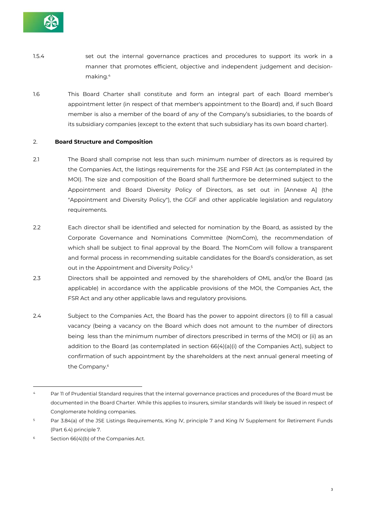

- 1.5.4 set out the internal governance practices and procedures to support its work in a manner that promotes efficient, objective and independent judgement and decisionmaking.4
- 1.6 This Board Charter shall constitute and form an integral part of each Board member's appointment letter (in respect of that member's appointment to the Board) and, if such Board member is also a member of the board of any of the Company's subsidiaries, to the boards of its subsidiary companies (except to the extent that such subsidiary has its own board charter).

#### 2. **Board Structure and Composition**

- 2.1 The Board shall comprise not less than such minimum number of directors as is required by the Companies Act, the listings requirements for the JSE and FSR Act (as contemplated in the MOI). The size and composition of the Board shall furthermore be determined subject to the Appointment and Board Diversity Policy of Directors, as set out in [Annexe A] (the "Appointment and Diversity Policy"), the GGF and other applicable legislation and regulatory requirements.
- 2.2 Each director shall be identified and selected for nomination by the Board, as assisted by the Corporate Governance and Nominations Committee (NomCom), the recommendation of which shall be subject to final approval by the Board. The NomCom will follow a transparent and formal process in recommending suitable candidates for the Board's consideration, as set out in the Appointment and Diversity Policy.5
- 2.3 Directors shall be appointed and removed by the shareholders of OML and/or the Board (as applicable) in accordance with the applicable provisions of the MOI, the Companies Act, the FSR Act and any other applicable laws and regulatory provisions.
- 2.4 Subject to the Companies Act, the Board has the power to appoint directors (i) to fill a casual vacancy (being a vacancy on the Board which does not amount to the number of directors being less than the minimum number of directors prescribed in terms of the MOI) or (ii) as an addition to the Board (as contemplated in section 66(4)(a)(i) of the Companies Act), subject to confirmation of such appointment by the shareholders at the next annual general meeting of the Company.<sup>6</sup>

Par 11 of Prudential Standard requires that the internal governance practices and procedures of the Board must be documented in the Board Charter. While this applies to insurers, similar standards will likely be issued in respect of Conglomerate holding companies.

<sup>5</sup> Par 3.84(a) of the JSE Listings Requirements, King lV, principle 7 and King lV Supplement for Retirement Funds (Part 6.4) principle 7.

<sup>6</sup> Section 66(4)(b) of the Companies Act.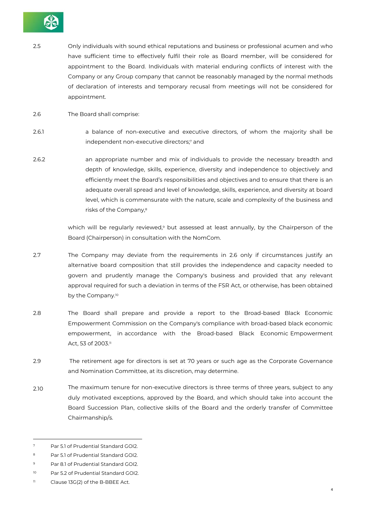

- 2.5 Only individuals with sound ethical reputations and business or professional acumen and who have sufficient time to effectively fulfil their role as Board member, will be considered for appointment to the Board. Individuals with material enduring conflicts of interest with the Company or any Group company that cannot be reasonably managed by the normal methods of declaration of interests and temporary recusal from meetings will not be considered for appointment.
- 2.6 The Board shall comprise:
- 2.6.1 a balance of non-executive and executive directors, of whom the majority shall be independent non-executive directors;<sup>7</sup> and
- 2.6.2 an appropriate number and mix of individuals to provide the necessary breadth and depth of knowledge, skills, experience, diversity and independence to objectively and efficiently meet the Board's responsibilities and objectives and to ensure that there is an adequate overall spread and level of knowledge, skills, experience, and diversity at board level, which is commensurate with the nature, scale and complexity of the business and risks of the Company,8

which will be regularly reviewed,<sup>9</sup> but assessed at least annually, by the Chairperson of the Board (Chairperson) in consultation with the NomCom.

- 2.7 The Company may deviate from the requirements in 2.6 only if circumstances justify an alternative board composition that still provides the independence and capacity needed to govern and prudently manage the Company's business and provided that any relevant approval required for such a deviation in terms of the FSR Act, or otherwise, has been obtained by the Company.<sup>10</sup>
- 2.8 The Board shall prepare and provide a report to the Broad-based Black Economic Empowerment Commission on the Company's compliance with broad-based black economic empowerment, in accordance with the Broad-based Black Economic Empowerment Act, 53 of 2003.<sup>11</sup>
- 2.9 The retirement age for directors is set at 70 years or such age as the Corporate Governance and Nomination Committee, at its discretion, may determine.
- 2.10 The maximum tenure for non-executive directors is three terms of three years, subject to any duly motivated exceptions, approved by the Board, and which should take into account the Board Succession Plan, collective skills of the Board and the orderly transfer of Committee Chairmanship/s.

<sup>7</sup> Par 5.1 of Prudential Standard GOI2.

<sup>8</sup> Par 5.1 of Prudential Standard GOI2.

<sup>9</sup> Par 8.1 of Prudential Standard GOI2.

<sup>&</sup>lt;sup>10</sup> Par 5.2 of Prudential Standard GOI2.

<sup>11</sup> Clause 13G(2) of the B-BBEE Act.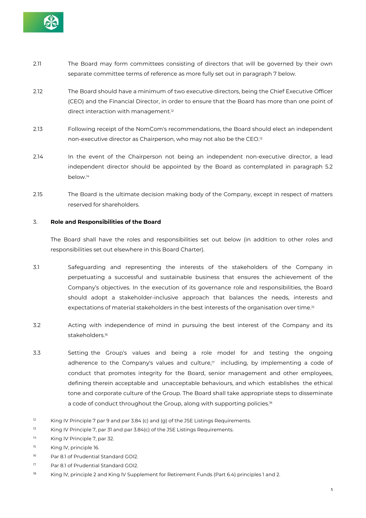

- 2.11 The Board may form committees consisting of directors that will be governed by their own separate committee terms of reference as more fully set out in paragraph 7 below.
- 2.12 The Board should have a minimum of two executive directors, being the Chief Executive Officer (CEO) and the Financial Director, in order to ensure that the Board has more than one point of direct interaction with management.<sup>12</sup>
- 2.13 Following receipt of the NomCom's recommendations, the Board should elect an independent non-executive director as Chairperson, who may not also be the CEO.13
- 2.14 In the event of the Chairperson not being an independent non-executive director, a lead independent director should be appointed by the Board as contemplated in paragraph 5.2 below.14
- 2.15 The Board is the ultimate decision making body of the Company, except in respect of matters reserved for shareholders.

#### 3. **Role and Responsibilities of the Board**

The Board shall have the roles and responsibilities set out below (in addition to other roles and responsibilities set out elsewhere in this Board Charter).

- 3.1 Safeguarding and representing the interests of the stakeholders of the Company in perpetuating a successful and sustainable business that ensures the achievement of the Company's objectives. In the execution of its governance role and responsibilities, the Board should adopt a stakeholder-inclusive approach that balances the needs, interests and expectations of material stakeholders in the best interests of the organisation over time.15
- 3.2 Acting with independence of mind in pursuing the best interest of the Company and its stakeholders.16
- 3.3 Setting the Group's values and being a role model for and testing the ongoing adherence to the Company's values and culture, $\eta$  including, by implementing a code of conduct that promotes integrity for the Board, senior management and other employees, defining therein acceptable and unacceptable behaviours, and which establishes the ethical tone and corporate culture of the Group. The Board shall take appropriate steps to disseminate a code of conduct throughout the Group, along with supporting policies.<sup>18</sup>
- $12$  King IV Principle 7 par 9 and par 3.84 (c) and (g) of the JSE Listings Requirements.
- <sup>13</sup> King IV Principle 7, par 31 and par 3.84(c) of the JSE Listings Requirements.
- 14 King IV Principle 7, par 32.
- 15 King lV, principle 16.
- 16 Par 8.1 of Prudential Standard GOI2.
- 17 Par 8.1 of Prudential Standard GOI2.
- 18 King IV, principle 2 and King IV Supplement for Retirement Funds (Part 6.4) principles 1 and 2.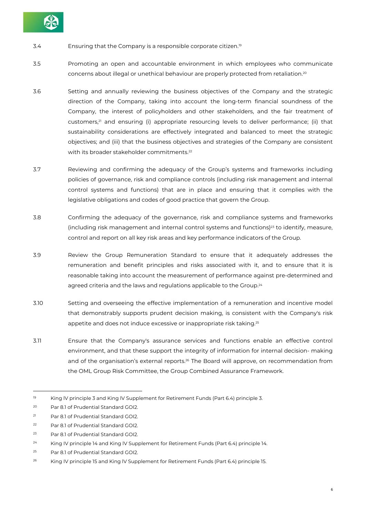

- 3.4 Ensuring that the Company is a responsible corporate citizen.19
- 3.5 Promoting an open and accountable environment in which employees who communicate concerns about illegal or unethical behaviour are properly protected from retaliation.20
- 3.6 Setting and annually reviewing the business objectives of the Company and the strategic direction of the Company, taking into account the long-term financial soundness of the Company, the interest of policyholders and other stakeholders, and the fair treatment of customers,<sup>21</sup> and ensuring (i) appropriate resourcing levels to deliver performance; (ii) that sustainability considerations are effectively integrated and balanced to meet the strategic objectives; and (iii) that the business objectives and strategies of the Company are consistent with its broader stakeholder commitments.<sup>22</sup>
- 3.7 Reviewing and confirming the adequacy of the Group's systems and frameworks including policies of governance, risk and compliance controls (including risk management and internal control systems and functions) that are in place and ensuring that it complies with the legislative obligations and codes of good practice that govern the Group.
- 3.8 Confirming the adequacy of the governance, risk and compliance systems and frameworks (including risk management and internal control systems and functions) $23$  to identify, measure, control and report on all key risk areas and key performance indicators of the Group.
- 3.9 Review the Group Remuneration Standard to ensure that it adequately addresses the remuneration and benefit principles and risks associated with it, and to ensure that it is reasonable taking into account the measurement of performance against pre-determined and agreed criteria and the laws and regulations applicable to the Group.<sup>24</sup>
- 3.10 Setting and overseeing the effective implementation of a remuneration and incentive model that demonstrably supports prudent decision making, is consistent with the Company's risk appetite and does not induce excessive or inappropriate risk taking.25
- 3.11 Ensure that the Company's assurance services and functions enable an effective control environment, and that these support the integrity of information for internal decision- making and of the organisation's external reports.<sup>26</sup> The Board will approve, on recommendation from the OML Group Risk Committee, the Group Combined Assurance Framework.

<sup>&</sup>lt;sup>19</sup> King IV principle 3 and King IV Supplement for Retirement Funds (Part 6.4) principle 3.

<sup>20</sup> Par 8.1 of Prudential Standard GOI2.

<sup>21</sup> Par 8.1 of Prudential Standard GOI2.

<sup>22</sup> Par 8.1 of Prudential Standard GOI2.

<sup>23</sup> Par 8.1 of Prudential Standard GOI2.

<sup>&</sup>lt;sup>24</sup> King IV principle 14 and King IV Supplement for Retirement Funds (Part 6.4) principle 14.

<sup>25</sup> Par 8.1 of Prudential Standard GOI2.

<sup>&</sup>lt;sup>26</sup> King IV principle 15 and King IV Supplement for Retirement Funds (Part 6.4) principle 15.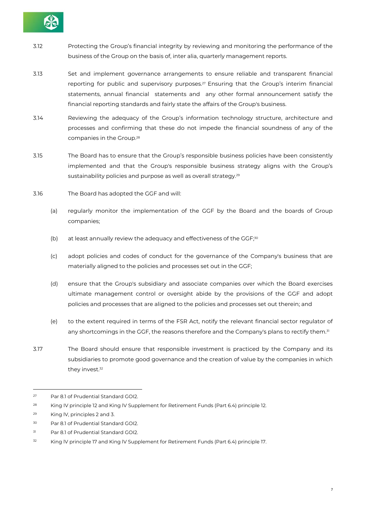

- 3.12 Protecting the Group's financial integrity by reviewing and monitoring the performance of the business of the Group on the basis of, inter alia, quarterly management reports.
- 3.13 Set and implement governance arrangements to ensure reliable and transparent financial reporting for public and supervisory purposes.<sup>27</sup> Ensuring that the Group's interim financial statements, annual financial statements and any other formal announcement satisfy the financial reporting standards and fairly state the affairs of the Group's business.
- 3.14 Reviewing the adequacy of the Group's information technology structure, architecture and processes and confirming that these do not impede the financial soundness of any of the companies in the Group.28
- 3.15 The Board has to ensure that the Group's responsible business policies have been consistently implemented and that the Group's responsible business strategy aligns with the Group's sustainability policies and purpose as well as overall strategy.<sup>29</sup>
- 3.16 The Board has adopted the GGF and will:
	- (a) regularly monitor the implementation of the GGF by the Board and the boards of Group companies;
	- (b) at least annually review the adequacy and effectiveness of the GGF;<sup>30</sup>
	- (c) adopt policies and codes of conduct for the governance of the Company's business that are materially aligned to the policies and processes set out in the GGF;
	- (d) ensure that the Group's subsidiary and associate companies over which the Board exercises ultimate management control or oversight abide by the provisions of the GGF and adopt policies and processes that are aligned to the policies and processes set out therein; and
	- (e) to the extent required in terms of the FSR Act, notify the relevant financial sector regulator of any shortcomings in the GGF, the reasons therefore and the Company's plans to rectify them.<sup>31</sup>
- 3.17 The Board should ensure that responsible investment is practiced by the Company and its subsidiaries to promote good governance and the creation of value by the companies in which they invest.32

<sup>27</sup> Par 8.1 of Prudential Standard GOI2.

<sup>&</sup>lt;sup>28</sup> King IV principle 12 and King IV Supplement for Retirement Funds (Part 6.4) principle 12.

<sup>29</sup> King lV, principles 2 and 3.

<sup>30</sup> Par 8.1 of Prudential Standard GOI2.

<sup>31</sup> Par 8.1 of Prudential Standard GOI2.

<sup>&</sup>lt;sup>32</sup> King IV principle 17 and King IV Supplement for Retirement Funds (Part 6.4) principle 17.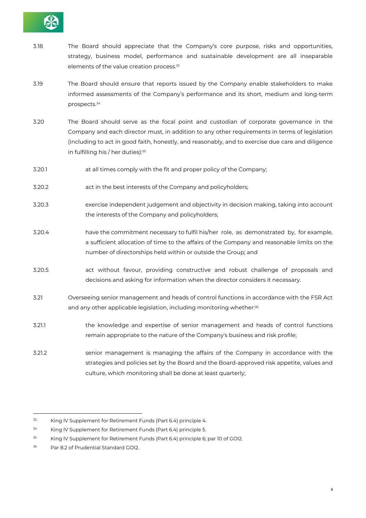

- 3.18 The Board should appreciate that the Company's core purpose, risks and opportunities, strategy, business model, performance and sustainable development are all inseparable elements of the value creation process.<sup>33</sup>
- 3.19 The Board should ensure that reports issued by the Company enable stakeholders to make informed assessments of the Company's performance and its short, medium and long-term prospects.34
- 3.20 The Board should serve as the focal point and custodian of corporate governance in the Company and each director must, in addition to any other requirements in terms of legislation (including to act in good faith, honestly, and reasonably, and to exercise due care and diligence in fulfilling his / her duties): 35
- 3.20.1 at all times comply with the fit and proper policy of the Company;
- 3.20.2 act in the best interests of the Company and policyholders;
- 3.20.3 exercise independent judgement and objectivity in decision making, taking into account the interests of the Company and policyholders;
- 3.20.4 have the commitment necessary to fulfil his/her role, as demonstrated by, for example, a sufficient allocation of time to the affairs of the Company and reasonable limits on the number of directorships held within or outside the Group; and
- 3.20.5 act without favour, providing constructive and robust challenge of proposals and decisions and asking for information when the director considers it necessary.
- 3.21 Overseeing senior management and heads of control functions in accordance with the FSR Act and any other applicable legislation, including monitoring whether:<sup>36</sup>
- 3.21.1 the knowledge and expertise of senior management and heads of control functions remain appropriate to the nature of the Company's business and risk profile;
- 3.21.2 senior management is managing the affairs of the Company in accordance with the strategies and policies set by the Board and the Board-approved risk appetite, values and culture, which monitoring shall be done at least quarterly;

<sup>33</sup> King lV Supplement for Retirement Funds (Part 6.4) principle 4.

<sup>34</sup> King lV Supplement for Retirement Funds (Part 6.4) principle 5.

<sup>35</sup> King lV Supplement for Retirement Funds (Part 6.4) principle 6; par 10 of GOI2.

<sup>36</sup> Par 8.2 of Prudential Standard GOI2.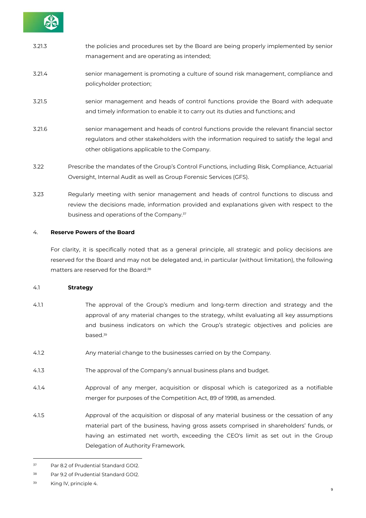

| 3.21.3 | the policies and procedures set by the Board are being properly implemented by senior<br>management and are operating as intended;                                                                                                 |
|--------|------------------------------------------------------------------------------------------------------------------------------------------------------------------------------------------------------------------------------------|
| 3.21.4 | senior management is promoting a culture of sound risk management, compliance and<br>policyholder protection;                                                                                                                      |
| 3.21.5 | senior management and heads of control functions provide the Board with adequate<br>and timely information to enable it to carry out its duties and functions; and                                                                 |
| 3.21.6 | senior management and heads of control functions provide the relevant financial sector<br>regulators and other stakeholders with the information required to satisfy the legal and<br>other obligations applicable to the Company. |
| 3.22   | Prescribe the mandates of the Group's Control Functions, including Risk, Compliance, Actuarial                                                                                                                                     |

3.23 Regularly meeting with senior management and heads of control functions to discuss and review the decisions made, information provided and explanations given with respect to the business and operations of the Company.37

Oversight, Internal Audit as well as Group Forensic Services (GFS).

#### 4. **Reserve Powers of the Board**

For clarity, it is specifically noted that as a general principle, all strategic and policy decisions are reserved for the Board and may not be delegated and, in particular (without limitation), the following matters are reserved for the Board:<sup>38</sup>

#### 4.1 **Strategy**

- 4.1.1 The approval of the Group's medium and long-term direction and strategy and the approval of any material changes to the strategy, whilst evaluating all key assumptions and business indicators on which the Group's strategic objectives and policies are based.39
- 4.1.2 Any material change to the businesses carried on by the Company.
- 4.1.3 The approval of the Company's annual business plans and budget.
- 4.1.4 Approval of any merger, acquisition or disposal which is categorized as a notifiable merger for purposes of the Competition Act, 89 of 1998, as amended.
- 4.1.5 Approval of the acquisition or disposal of any material business or the cessation of any material part of the business, having gross assets comprised in shareholders' funds, or having an estimated net worth, exceeding the CEO's limit as set out in the Group Delegation of Authority Framework.

<sup>37</sup> Par 8.2 of Prudential Standard GOI2.

<sup>38</sup> Par 9.2 of Prudential Standard GOI2.

<sup>39</sup> King lV, principle 4.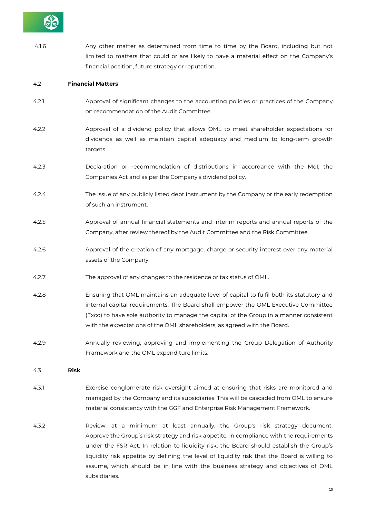

 4.1.6 Any other matter as determined from time to time by the Board, including but not limited to matters that could or are likely to have a material effect on the Company's financial position, future strategy or reputation.

#### 4.2 **Financial Matters**

- 4.2.1 Approval of significant changes to the accounting policies or practices of the Company on recommendation of the Audit Committee.
- 4.2.2 Approval of a dividend policy that allows OML to meet shareholder expectations for dividends as well as maintain capital adequacy and medium to long-term growth targets.
- 4.2.3 Declaration or recommendation of distributions in accordance with the MoI, the Companies Act and as per the Company's dividend policy.
- 4.2.4 The issue of any publicly listed debt instrument by the Company or the early redemption of such an instrument.
- 4.2.5 Approval of annual financial statements and interim reports and annual reports of the Company, after review thereof by the Audit Committee and the Risk Committee.
- 4.2.6 Approval of the creation of any mortgage, charge or security interest over any material assets of the Company.
- 4.2.7 The approval of any changes to the residence or tax status of OML.
- 4.2.8 Ensuring that OML maintains an adequate level of capital to fulfil both its statutory and internal capital requirements. The Board shall empower the OML Executive Committee (Exco) to have sole authority to manage the capital of the Group in a manner consistent with the expectations of the OML shareholders, as agreed with the Board.
- 4.2.9 Annually reviewing, approving and implementing the Group Delegation of Authority Framework and the OML expenditure limits.

4.3 **Risk**

- 4.3.1 Exercise conglomerate risk oversight aimed at ensuring that risks are monitored and managed by the Company and its subsidiaries. This will be cascaded from OML to ensure material consistency with the GGF and Enterprise Risk Management Framework.
- 4.3.2 Review, at a minimum at least annually, the Group's risk strategy document. Approve the Group's risk strategy and risk appetite, in compliance with the requirements under the FSR Act. In relation to liquidity risk, the Board should establish the Group's liquidity risk appetite by defining the level of liquidity risk that the Board is willing to assume, which should be in line with the business strategy and objectives of OML subsidiaries.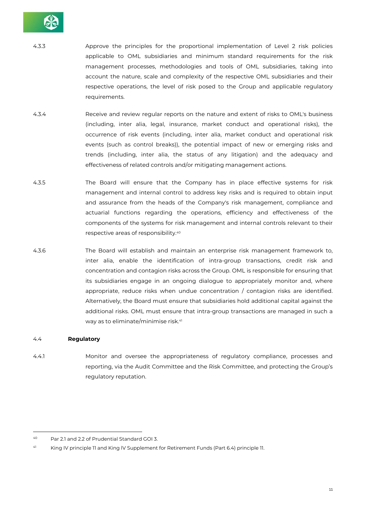

4.3.3 Approve the principles for the proportional implementation of Level 2 risk policies applicable to OML subsidiaries and minimum standard requirements for the risk management processes, methodologies and tools of OML subsidiaries, taking into account the nature, scale and complexity of the respective OML subsidiaries and their respective operations, the level of risk posed to the Group and applicable regulatory requirements.

- 4.3.4 Receive and review regular reports on the nature and extent of risks to OML's business (including, inter alia, legal, insurance, market conduct and operational risks), the occurrence of risk events (including, inter alia, market conduct and operational risk events (such as control breaks)), the potential impact of new or emerging risks and trends (including, inter alia, the status of any litigation) and the adequacy and effectiveness of related controls and/or mitigating management actions.
- 4.3.5 The Board will ensure that the Company has in place effective systems for risk management and internal control to address key risks and is required to obtain input and assurance from the heads of the Company's risk management, compliance and actuarial functions regarding the operations, efficiency and effectiveness of the components of the systems for risk management and internal controls relevant to their respective areas of responsibility.40
- 4.3.6 The Board will establish and maintain an enterprise risk management framework to, inter alia, enable the identification of intra-group transactions, credit risk and concentration and contagion risks across the Group. OML is responsible for ensuring that its subsidiaries engage in an ongoing dialogue to appropriately monitor and, where appropriate, reduce risks when undue concentration / contagion risks are identified. Alternatively, the Board must ensure that subsidiaries hold additional capital against the additional risks. OML must ensure that intra-group transactions are managed in such a way as to eliminate/minimise risk.41

#### 4.4 **Regulatory**

 $\overline{a}$ 

4.4.1 Monitor and oversee the appropriateness of regulatory compliance, processes and reporting, via the Audit Committee and the Risk Committee, and protecting the Group's regulatory reputation.

<sup>40</sup> Par 2.1 and 2.2 of Prudential Standard GOI 3.

<sup>41</sup> King IV principle 11 and King lV Supplement for Retirement Funds (Part 6.4) principle 11.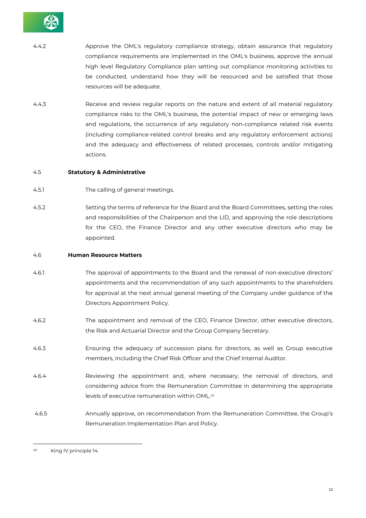

- 4.4.2 Approve the OML's regulatory compliance strategy, obtain assurance that regulatory compliance requirements are implemented in the OML's business, approve the annual high level Regulatory Compliance plan setting out compliance monitoring activities to be conducted, understand how they will be resourced and be satisfied that those resources will be adequate.
- 4.4.3 Receive and review regular reports on the nature and extent of all material regulatory compliance risks to the OML's business, the potential impact of new or emerging laws and regulations, the occurrence of any regulatory non-compliance related risk events (including compliance-related control breaks and any regulatory enforcement actions) and the adequacy and effectiveness of related processes, controls and/or mitigating actions.

#### 4.5 **Statutory & Administrative**

- 4.5.1 The calling of general meetings.
- 4.5.2 Setting the terms of reference for the Board and the Board Committees, setting the roles and responsibilities of the Chairperson and the LID, and approving the role descriptions for the CEO, the Finance Director and any other executive directors who may be appointed.

#### 4.6 **Human Resource Matters**

- 4.6.1 The approval of appointments to the Board and the renewal of non-executive directors' appointments and the recommendation of any such appointments to the shareholders for approval at the next annual general meeting of the Company under guidance of the Directors Appointment Policy.
- 4.6.2 The appointment and removal of the CEO, Finance Director, other executive directors, the Risk and Actuarial Director and the Group Company Secretary.
- 4.6.3 Ensuring the adequacy of succession plans for directors, as well as Group executive members, including the Chief Risk Officer and the Chief Internal Auditor.
- 4.6.4 Reviewing the appointment and, where necessary, the removal of directors, and considering advice from the Remuneration Committee in determining the appropriate levels of executive remuneration within OML.42
- 4.6.5 Annually approve, on recommendation from the Remuneration Committee, the Group's Remuneration Implementation Plan and Policy.

<sup>42</sup> King IV principle 14.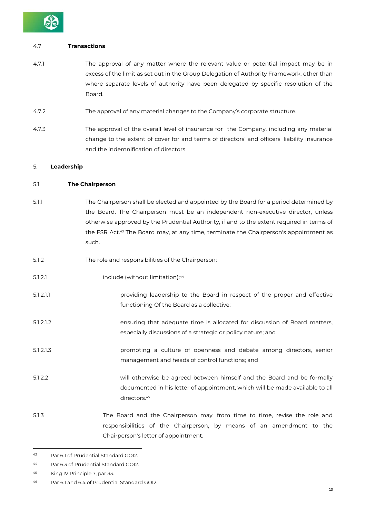

#### 4.7 **Transactions**

- 4.7.1 The approval of any matter where the relevant value or potential impact may be in excess of the limit as set out in the Group Delegation of Authority Framework, other than where separate levels of authority have been delegated by specific resolution of the Board.
- 4.7.2 The approval of any material changes to the Company's corporate structure.
- 4.7.3 The approval of the overall level of insurance for the Company, including any material change to the extent of cover for and terms of directors' and officers' liability insurance and the indemnification of directors.

#### 5. **Leadership**

#### 5.1 **The Chairperson**

- 5.1.1 The Chairperson shall be elected and appointed by the Board for a period determined by the Board. The Chairperson must be an independent non-executive director, unless otherwise approved by the Prudential Authority, if and to the extent required in terms of the FSR Act.43 The Board may, at any time, terminate the Chairperson's appointment as such.
- 5.1.2 The role and responsibilities of the Chairperson:
- 5.1.2.1 include (without limitation):44
- 5.1.2.1.1 providing leadership to the Board in respect of the proper and effective functioning Of the Board as a collective;
- 5.1.2.1.2 ensuring that adequate time is allocated for discussion of Board matters, especially discussions of a strategic or policy nature; and
- 5.1.2.1.3 promoting a culture of openness and debate among directors, senior management and heads of control functions; and
- 5.1.2.2 will otherwise be agreed between himself and the Board and be formally documented in his letter of appointment, which will be made available to all directors.<sup>45</sup>
- 5.1.3 The Board and the Chairperson may, from time to time, revise the role and responsibilities of the Chairperson, by means of an amendment to the Chairperson's letter of appointment.

<sup>43</sup> Par 6.1 of Prudential Standard GOI2.

<sup>44</sup> Par 6.3 of Prudential Standard GOI2.

<sup>45</sup> King IV Principle 7, par 33.

<sup>46</sup> Par 6.1 and 6.4 of Prudential Standard GOI2.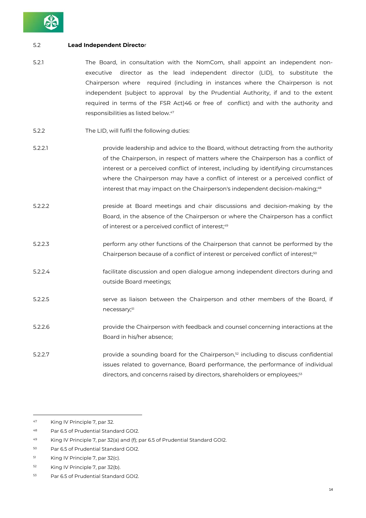

#### 5.2 **Lead Independent Directo**r

- 5.2.1 The Board, in consultation with the NomCom, shall appoint an independent nonexecutive director as the lead independent director (LID), to substitute the Chairperson where required (including in instances where the Chairperson is not independent (subject to approval by the Prudential Authority, if and to the extent required in terms of the FSR Act)46 or free of conflict) and with the authority and responsibilities as listed below.47
- 5.2.2 The LID, will fulfil the following duties:
- 5.2.2.1 provide leadership and advice to the Board, without detracting from the authority of the Chairperson, in respect of matters where the Chairperson has a conflict of interest or a perceived conflict of interest, including by identifying circumstances where the Chairperson may have a conflict of interest or a perceived conflict of interest that may impact on the Chairperson's independent decision-making;<sup>48</sup>
- 5.2.2.2 preside at Board meetings and chair discussions and decision-making by the Board, in the absence of the Chairperson or where the Chairperson has a conflict of interest or a perceived conflict of interest;49
- 5.2.2.3 perform any other functions of the Chairperson that cannot be performed by the Chairperson because of a conflict of interest or perceived conflict of interest;<sup>50</sup>
- 5.2.2.4 facilitate discussion and open dialogue among independent directors during and outside Board meetings;
- 5.2.2.5 serve as liaison between the Chairperson and other members of the Board, if necessary;51
- 5.2.2.6 provide the Chairperson with feedback and counsel concerning interactions at the Board in his/her absence;
- 5.2.2.7 **provide a sounding board for the Chairperson**, $52$  including to discuss confidential issues related to governance, Board performance, the performance of individual directors, and concerns raised by directors, shareholders or employees;<sup>53</sup>

<sup>47</sup> King IV Principle 7, par 32.

<sup>48</sup> Par 6.5 of Prudential Standard GOI2.

<sup>49</sup> King IV Principle 7, par 32(a) and (f); par 6.5 of Prudential Standard GOI2.

<sup>50</sup> Par 6.5 of Prudential Standard GOI2.

<sup>51</sup> King IV Principle 7, par 32(c).

<sup>52</sup> King IV Principle 7, par 32(b).

<sup>53</sup> Par 6.5 of Prudential Standard GOI2.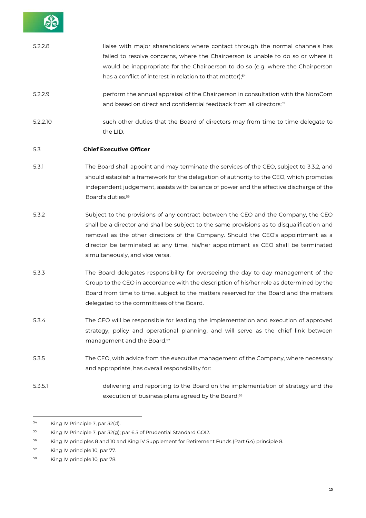| 5.2.2.8  | liaise with major shareholders where contact through the normal channels has<br>failed to resolve concerns, where the Chairperson is unable to do so or where it<br>would be inappropriate for the Chairperson to do so (e.g. where the Chairperson<br>has a conflict of interest in relation to that matter); <sup>54</sup>                                                                  |
|----------|-----------------------------------------------------------------------------------------------------------------------------------------------------------------------------------------------------------------------------------------------------------------------------------------------------------------------------------------------------------------------------------------------|
| 5.2.2.9  | perform the annual appraisal of the Chairperson in consultation with the NomCom<br>and based on direct and confidential feedback from all directors; <sup>55</sup>                                                                                                                                                                                                                            |
| 5.2.2.10 | such other duties that the Board of directors may from time to time delegate to<br>the LID.                                                                                                                                                                                                                                                                                                   |
| 5.3      | <b>Chief Executive Officer</b>                                                                                                                                                                                                                                                                                                                                                                |
| 5.3.1    | The Board shall appoint and may terminate the services of the CEO, subject to 3.3.2, and<br>should establish a framework for the delegation of authority to the CEO, which promotes<br>independent judgement, assists with balance of power and the effective discharge of the<br>Board's duties. <sup>56</sup>                                                                               |
| 5.3.2    | Subject to the provisions of any contract between the CEO and the Company, the CEO<br>shall be a director and shall be subject to the same provisions as to disqualification and<br>removal as the other directors of the Company. Should the CEO's appointment as a<br>director be terminated at any time, his/her appointment as CEO shall be terminated<br>simultaneously, and vice versa. |
| 5.3.3    | The Board delegates responsibility for overseeing the day to day management of the<br>Group to the CEO in accordance with the description of his/her role as determined by the<br>Board from time to time, subject to the matters reserved for the Board and the matters<br>delegated to the committees of the Board.                                                                         |
| 5.3.4    | The CEO will be responsible for leading the implementation and execution of approved<br>strategy, policy and operational planning, and will serve as the chief link between<br>management and the Board. <sup>57</sup>                                                                                                                                                                        |
| 5.3.5    | The CEO, with advice from the executive management of the Company, where necessary<br>and appropriate, has overall responsibility for:                                                                                                                                                                                                                                                        |
| 5.3.5.1  | delivering and reporting to the Board on the implementation of strategy and the<br>execution of business plans agreed by the Board; <sup>58</sup>                                                                                                                                                                                                                                             |
| 54<br>55 | King IV Principle 7, par 32(d).<br>King IV Principle 7, par 32(g); par 6.5 of Prudential Standard GOI2.                                                                                                                                                                                                                                                                                       |

56 King IV principles 8 and 10 and King lV Supplement for Retirement Funds (Part 6.4) principle 8.

57 King IV principle 10, par 77.

<sup>58</sup> King IV principle 10, par 78.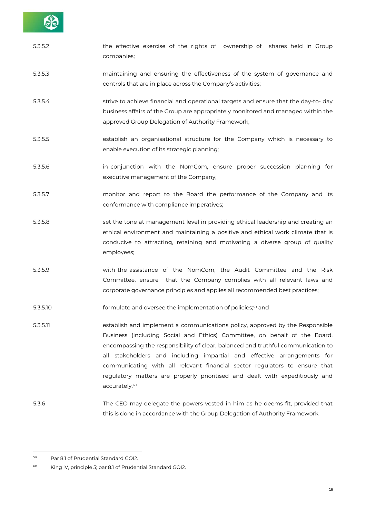

| 5.3.5.2  | the effective exercise of the rights of ownership of shares held in Group<br>companies;                                                                                                                                                                                                                                                                                                                                                                                                                             |
|----------|---------------------------------------------------------------------------------------------------------------------------------------------------------------------------------------------------------------------------------------------------------------------------------------------------------------------------------------------------------------------------------------------------------------------------------------------------------------------------------------------------------------------|
| 5.3.5.3  | maintaining and ensuring the effectiveness of the system of governance and<br>controls that are in place across the Company's activities;                                                                                                                                                                                                                                                                                                                                                                           |
| 5.3.5.4  | strive to achieve financial and operational targets and ensure that the day-to-day<br>business affairs of the Group are appropriately monitored and managed within the<br>approved Group Delegation of Authority Framework;                                                                                                                                                                                                                                                                                         |
| 5.3.5.5  | establish an organisational structure for the Company which is necessary to<br>enable execution of its strategic planning;                                                                                                                                                                                                                                                                                                                                                                                          |
| 5.3.5.6  | in conjunction with the NomCom, ensure proper succession planning for<br>executive management of the Company;                                                                                                                                                                                                                                                                                                                                                                                                       |
| 5.3.5.7  | monitor and report to the Board the performance of the Company and its<br>conformance with compliance imperatives;                                                                                                                                                                                                                                                                                                                                                                                                  |
| 5.3.5.8  | set the tone at management level in providing ethical leadership and creating an<br>ethical environment and maintaining a positive and ethical work climate that is<br>conducive to attracting, retaining and motivating a diverse group of quality<br>employees;                                                                                                                                                                                                                                                   |
| 5.3.5.9  | with the assistance of the NomCom, the Audit Committee and the Risk<br>Committee, ensure that the Company complies with all relevant laws and<br>corporate governance principles and applies all recommended best practices;                                                                                                                                                                                                                                                                                        |
| 5.3.5.10 | formulate and oversee the implementation of policies; <sup>59</sup> and                                                                                                                                                                                                                                                                                                                                                                                                                                             |
| 5.3.5.11 | establish and implement a communications policy, approved by the Responsible<br>Business (including Social and Ethics) Committee, on behalf of the Board,<br>encompassing the responsibility of clear, balanced and truthful communication to<br>all stakeholders and including impartial and effective arrangements for<br>communicating with all relevant financial sector regulators to ensure that<br>regulatory matters are properly prioritised and dealt with expeditiously and<br>accurately. <sup>60</sup> |
| 5.3.6    | The CEO may delegate the powers vested in him as he deems fit, provided that<br>this is done in accordance with the Group Delegation of Authority Framework.                                                                                                                                                                                                                                                                                                                                                        |

<sup>59</sup> Par 8.1 of Prudential Standard GOI2.

<sup>60</sup> King lV, principle 5; par 8.1 of Prudential Standard GOI2.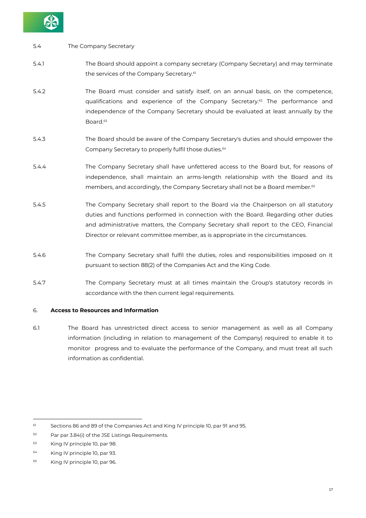

#### 5.4 The Company Secretary

- 5.4.1 The Board should appoint a company secretary (Company Secretary) and may terminate the services of the Company Secretary.<sup>61</sup>
- 5.4.2 The Board must consider and satisfy itself, on an annual basis, on the competence, qualifications and experience of the Company Secretary.62 The performance and independence of the Company Secretary should be evaluated at least annually by the Board.<sup>63</sup>
- 5.4.3 The Board should be aware of the Company Secretary's duties and should empower the Company Secretary to properly fulfil those duties.<sup>64</sup>
- 5.4.4 The Company Secretary shall have unfettered access to the Board but, for reasons of independence, shall maintain an arms-length relationship with the Board and its members, and accordingly, the Company Secretary shall not be a Board member.<sup>65</sup>
- 5.4.5 The Company Secretary shall report to the Board via the Chairperson on all statutory duties and functions performed in connection with the Board. Regarding other duties and administrative matters, the Company Secretary shall report to the CEO, Financial Director or relevant committee member, as is appropriate in the circumstances.
- 5.4.6 The Company Secretary shall fulfil the duties, roles and responsibilities imposed on it pursuant to section 88(2) of the Companies Act and the King Code.
- 5.4.7 The Company Secretary must at all times maintain the Group's statutory records in accordance with the then current legal requirements.

#### 6. **Access to Resources and Information**

6.1 The Board has unrestricted direct access to senior management as well as all Company information (including in relation to management of the Company) required to enable it to monitor progress and to evaluate the performance of the Company, and must treat all such information as confidential.

<sup>61</sup> Sections 86 and 89 of the Companies Act and King IV principle 10, par 91 and 95.

<sup>62</sup> Par par 3.84(i) of the JSE Listings Requirements.

<sup>63</sup> King IV principle 10, par 98.

<sup>64</sup> King IV principle 10, par 93.

<sup>65</sup> King IV principle 10, par 96.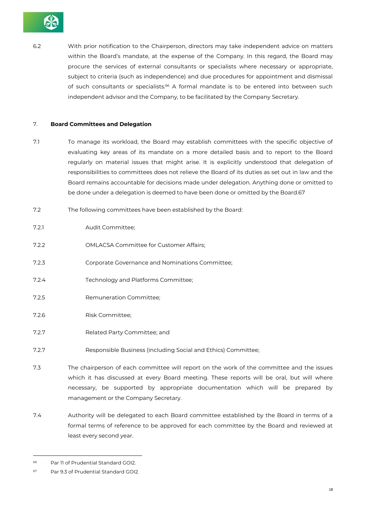

6.2 With prior notification to the Chairperson, directors may take independent advice on matters within the Board's mandate, at the expense of the Company. In this regard, the Board may procure the services of external consultants or specialists where necessary or appropriate, subject to criteria (such as independence) and due procedures for appointment and dismissal of such consultants or specialists.<sup>66</sup> A formal mandate is to be entered into between such independent advisor and the Company, to be facilitated by the Company Secretary.

#### 7. **Board Committees and Delegation**

- 7.1 To manage its workload, the Board may establish committees with the specific objective of evaluating key areas of its mandate on a more detailed basis and to report to the Board regularly on material issues that might arise. It is explicitly understood that delegation of responsibilities to committees does not relieve the Board of its duties as set out in law and the Board remains accountable for decisions made under delegation. Anything done or omitted to be done under a delegation is deemed to have been done or omitted by the Board.67
- 7.2 The following committees have been established by the Board:
- 7.2.1 Audit Committee;
- 7.2.2 OMLACSA Committee for Customer Affairs;
- 7.2.3 Corporate Governance and Nominations Committee;
- 7.2.4 Technology and Platforms Committee;
- 7.2.5 Remuneration Committee;
- 7.2.6 Risk Committee;
- 7.2.7 Related Party Committee; and
- 7.2.7 Responsible Business (including Social and Ethics) Committee;
- 7.3 The chairperson of each committee will report on the work of the committee and the issues which it has discussed at every Board meeting. These reports will be oral, but will where necessary, be supported by appropriate documentation which will be prepared by management or the Company Secretary.
- 7.4 Authority will be delegated to each Board committee established by the Board in terms of a formal terms of reference to be approved for each committee by the Board and reviewed at least every second year.

<sup>66</sup> Par 11 of Prudential Standard GOI2.

<sup>67</sup> Par 9.3 of Prudential Standard GOI2.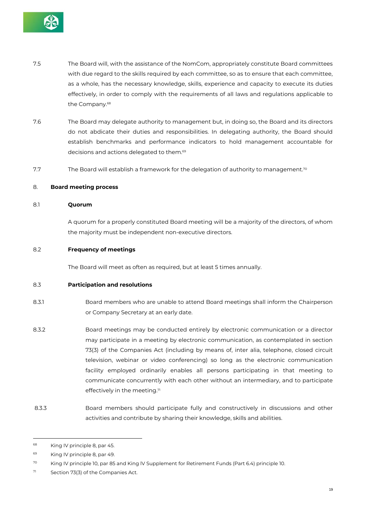

- 7.5 The Board will, with the assistance of the NomCom, appropriately constitute Board committees with due regard to the skills required by each committee, so as to ensure that each committee, as a whole, has the necessary knowledge, skills, experience and capacity to execute its duties effectively, in order to comply with the requirements of all laws and regulations applicable to the Company.68
- 7.6 The Board may delegate authority to management but, in doing so, the Board and its directors do not abdicate their duties and responsibilities. In delegating authority, the Board should establish benchmarks and performance indicators to hold management accountable for decisions and actions delegated to them.69
- 7.7 The Board will establish a framework for the delegation of authority to management.<sup>70</sup>

#### 8. **Board meeting process**

#### 8.1 **Quorum**

A quorum for a properly constituted Board meeting will be a majority of the directors, of whom the majority must be independent non-executive directors.

#### 8.2 **Frequency of meetings**

The Board will meet as often as required, but at least 5 times annually.

#### 8.3 **Participation and resolutions**

- 8.3.1 Board members who are unable to attend Board meetings shall inform the Chairperson or Company Secretary at an early date.
- 8.3.2 Board meetings may be conducted entirely by electronic communication or a director may participate in a meeting by electronic communication, as contemplated in section 73(3) of the Companies Act (including by means of, inter alia, telephone, closed circuit television, webinar or video conferencing) so long as the electronic communication facility employed ordinarily enables all persons participating in that meeting to communicate concurrently with each other without an intermediary, and to participate effectively in the meeting. $71$
- 8.3.3 Board members should participate fully and constructively in discussions and other activities and contribute by sharing their knowledge, skills and abilities.

<sup>68</sup> King IV principle 8, par 45.

<sup>69</sup> King IV principle 8, par 49.

<sup>70</sup> King IV principle 10, par 85 and King lV Supplement for Retirement Funds (Part 6.4) principle 10.

 $71$  Section 73(3) of the Companies Act.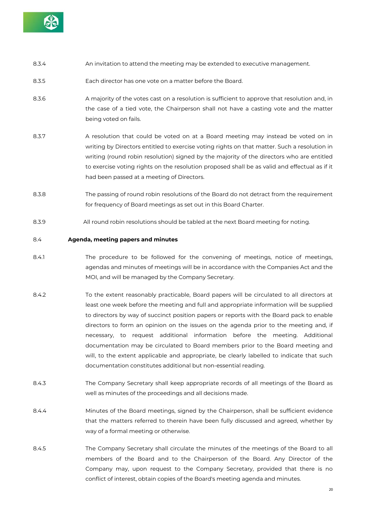

- 8.3.4 An invitation to attend the meeting may be extended to executive management.
- 8.3.5 Each director has one vote on a matter before the Board.
- 8.3.6 A majority of the votes cast on a resolution is sufficient to approve that resolution and, in the case of a tied vote, the Chairperson shall not have a casting vote and the matter being voted on fails.
- 8.3.7 A resolution that could be voted on at a Board meeting may instead be voted on in writing by Directors entitled to exercise voting rights on that matter. Such a resolution in writing (round robin resolution) signed by the majority of the directors who are entitled to exercise voting rights on the resolution proposed shall be as valid and effectual as if it had been passed at a meeting of Directors.
- 8.3.8 The passing of round robin resolutions of the Board do not detract from the requirement for frequency of Board meetings as set out in this Board Charter.
- 8.3.9 All round robin resolutions should be tabled at the next Board meeting for noting.

#### 8.4 **Agenda, meeting papers and minutes**

- 8.4.1 The procedure to be followed for the convening of meetings, notice of meetings, agendas and minutes of meetings will be in accordance with the Companies Act and the MOI, and will be managed by the Company Secretary.
- 8.4.2 To the extent reasonably practicable, Board papers will be circulated to all directors at least one week before the meeting and full and appropriate information will be supplied to directors by way of succinct position papers or reports with the Board pack to enable directors to form an opinion on the issues on the agenda prior to the meeting and, if necessary, to request additional information before the meeting. Additional documentation may be circulated to Board members prior to the Board meeting and will, to the extent applicable and appropriate, be clearly labelled to indicate that such documentation constitutes additional but non-essential reading.
- 8.4.3 The Company Secretary shall keep appropriate records of all meetings of the Board as well as minutes of the proceedings and all decisions made.
- 8.4.4 Minutes of the Board meetings, signed by the Chairperson, shall be sufficient evidence that the matters referred to therein have been fully discussed and agreed, whether by way of a formal meeting or otherwise.
- 8.4.5 The Company Secretary shall circulate the minutes of the meetings of the Board to all members of the Board and to the Chairperson of the Board. Any Director of the Company may, upon request to the Company Secretary, provided that there is no conflict of interest, obtain copies of the Board's meeting agenda and minutes.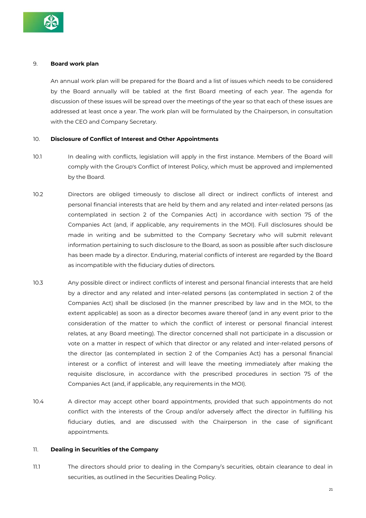

#### 9. **Board work plan**

An annual work plan will be prepared for the Board and a list of issues which needs to be considered by the Board annually will be tabled at the first Board meeting of each year. The agenda for discussion of these issues will be spread over the meetings of the year so that each of these issues are addressed at least once a year. The work plan will be formulated by the Chairperson, in consultation with the CEO and Company Secretary.

#### 10. **Disclosure of Conflict of Interest and Other Appointments**

- 10.1 In dealing with conflicts, legislation will apply in the first instance. Members of the Board will comply with the Group's Conflict of Interest Policy, which must be approved and implemented by the Board.
- 10.2 Directors are obliged timeously to disclose all direct or indirect conflicts of interest and personal financial interests that are held by them and any related and inter-related persons (as contemplated in section 2 of the Companies Act) in accordance with section 75 of the Companies Act (and, if applicable, any requirements in the MOI). Full disclosures should be made in writing and be submitted to the Company Secretary who will submit relevant information pertaining to such disclosure to the Board, as soon as possible after such disclosure has been made by a director. Enduring, material conflicts of interest are regarded by the Board as incompatible with the fiduciary duties of directors.
- 10.3 Any possible direct or indirect conflicts of interest and personal financial interests that are held by a director and any related and inter-related persons (as contemplated in section 2 of the Companies Act) shall be disclosed (in the manner prescribed by law and in the MOI, to the extent applicable) as soon as a director becomes aware thereof (and in any event prior to the consideration of the matter to which the conflict of interest or personal financial interest relates, at any Board meeting). The director concerned shall not participate in a discussion or vote on a matter in respect of which that director or any related and inter-related persons of the director (as contemplated in section 2 of the Companies Act) has a personal financial interest or a conflict of interest and will leave the meeting immediately after making the requisite disclosure, in accordance with the prescribed procedures in section 75 of the Companies Act (and, if applicable, any requirements in the MOI).
- 10.4 A director may accept other board appointments, provided that such appointments do not conflict with the interests of the Group and/or adversely affect the director in fulfilling his fiduciary duties, and are discussed with the Chairperson in the case of significant appointments.

#### 11. **Dealing in Securities of the Company**

11.1 The directors should prior to dealing in the Company's securities, obtain clearance to deal in securities, as outlined in the Securities Dealing Policy.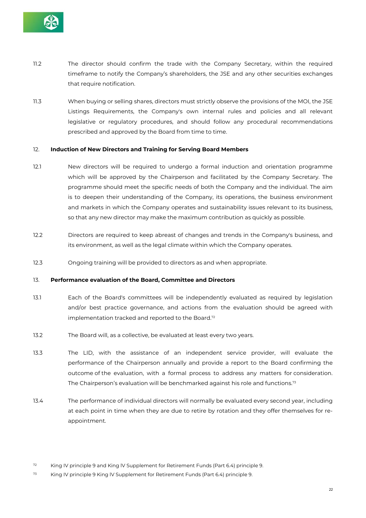

- 11.2 The director should confirm the trade with the Company Secretary, within the required timeframe to notify the Company's shareholders, the JSE and any other securities exchanges that require notification.
- 11.3 When buying or selling shares, directors must strictly observe the provisions of the MOI, the JSE Listings Requirements, the Company's own internal rules and policies and all relevant legislative or regulatory procedures, and should follow any procedural recommendations prescribed and approved by the Board from time to time.

#### 12. **Induction of New Directors and Training for Serving Board Members**

- 12.1 New directors will be required to undergo a formal induction and orientation programme which will be approved by the Chairperson and facilitated by the Company Secretary. The programme should meet the specific needs of both the Company and the individual. The aim is to deepen their understanding of the Company, its operations, the business environment and markets in which the Company operates and sustainability issues relevant to its business, so that any new director may make the maximum contribution as quickly as possible.
- 12.2 Directors are required to keep abreast of changes and trends in the Company's business, and its environment, as well as the legal climate within which the Company operates.
- 12.3 Ongoing training will be provided to directors as and when appropriate.

#### 13. **Performance evaluation of the Board, Committee and Directors**

- 13.1 Each of the Board's committees will be independently evaluated as required by legislation and/or best practice governance, and actions from the evaluation should be agreed with implementation tracked and reported to the Board.72
- 13.2 The Board will, as a collective, be evaluated at least every two years.
- 13.3 The LID, with the assistance of an independent service provider, will evaluate the performance of the Chairperson annually and provide a report to the Board confirming the outcome of the evaluation, with a formal process to address any matters for consideration. The Chairperson's evaluation will be benchmarked against his role and functions.73
- 13.4 The performance of individual directors will normally be evaluated every second year, including at each point in time when they are due to retire by rotation and they offer themselves for reappointment.

 $72$  King IV principle 9 and King IV Supplement for Retirement Funds (Part 6.4) principle 9.

 $73$  King IV principle 9 King IV Supplement for Retirement Funds (Part 6.4) principle 9.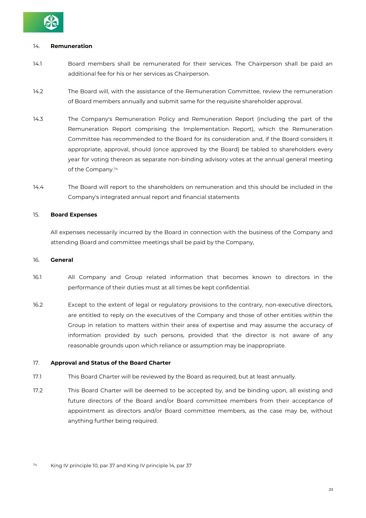

#### 14. **Remuneration**

- 14.1 Board members shall be remunerated for their services. The Chairperson shall be paid an additional fee for his or her services as Chairperson.
- 14.2 The Board will, with the assistance of the Remuneration Committee, review the remuneration of Board members annually and submit same for the requisite shareholder approval.
- 14.3 The Company's Remuneration Policy and Remuneration Report (including the part of the Remuneration Report comprising the Implementation Report), which the Remuneration Committee has recommended to the Board for its consideration and, if the Board considers it appropriate, approval, should (once approved by the Board) be tabled to shareholders every year for voting thereon as separate non-binding advisory votes at the annual general meeting of the Company.74
- 14.4 The Board will report to the shareholders on remuneration and this should be included in the Company's integrated annual report and financial statements

#### 15. **Board Expenses**

All expenses necessarily incurred by the Board in connection with the business of the Company and attending Board and committee meetings shall be paid by the Company,

#### 16. **General**

- 16.1 All Company and Group related information that becomes known to directors in the performance of their duties must at all times be kept confidential.
- 16.2 Except to the extent of legal or regulatory provisions to the contrary, non-executive directors, are entitled to reply on the executives of the Company and those of other entities within the Group in relation to matters within their area of expertise and may assume the accuracy of information provided by such persons, provided that the director is not aware of any reasonable grounds upon which reliance or assumption may be inappropriate.

#### 17. **Approval and Status of the Board Charter**

- 17.1 This Board Charter will be reviewed by the Board as required, but at least annually.
- 17.2 This Board Charter will be deemed to be accepted by, and be binding upon, all existing and future directors of the Board and/or Board committee members from their acceptance of appointment as directors and/or Board committee members, as the case may be, without anything further being required.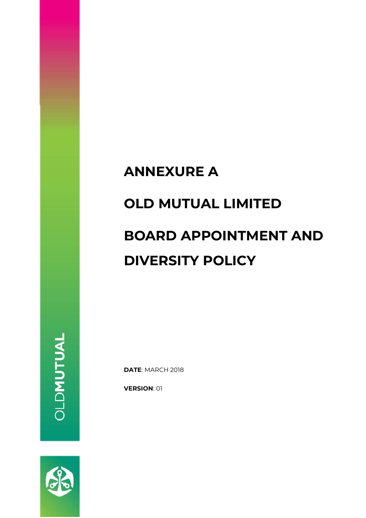# **ANNEXURE A OLD MUTUAL LIMITED BOARD APPOINTMENT AND DIVERSITY POLICY**

**DATE**: MARCH 2018

**VERSION**: 01

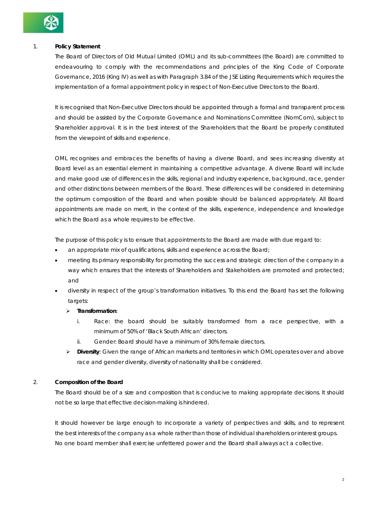

#### 1. **Policy Statement**

The Board of Directors of Old Mutual Limited (OML) and its sub-committees (the Board) are committed to endeavouring to comply with the recommendations and principles of the King Code of Corporate Governance, 2016 (King IV) as well as with Paragraph 3.84 of the JSE Listing Requirements which requires the implementation of a formal appointment policy in respect of Non-Executive Directors to the Board.

It is recognised that Non-Executive Directors should be appointed through a formal and transparent process and should be assisted by the Corporate Governance and Nominations Committee (NomCom), subject to Shareholder approval. It is in the best interest of the Shareholders that the Board be properly constituted from the viewpoint of skills and experience.

OML recognises and embraces the benefits of having a diverse Board, and sees increasing diversity at Board level as an essential element in maintaining a competitive advantage. A diverse Board will include and make good use of differences in the skills, regional and industry experience, background, race, gender and other distinctions between members of the Board. These differences will be considered in determining the optimum composition of the Board and when possible should be balanced appropriately. All Board appointments are made on merit, in the context of the skills, experience, independence and knowledge which the Board as a whole requires to be effective.

The purpose of this policy is to ensure that appointments to the Board are made with due regard to:

- an appropriate mix of qualifications, skills and experience across the Board;
- meeting its primary responsibility for promoting the success and strategic direction of the company in a way which ensures that the interests of Shareholders and Stakeholders are promoted and protected; and
- diversity in respect of the group's transformation initiatives. To this end the Board has set the following targets:

#### **Transformation**:

- i. Race: the board should be suitably transformed from a race perspective, with a minimum of 50% of 'Black South African' directors.
- ii. Gender: Board should have a minimum of 30% female directors.
- **Diversity**: Given the range of African markets and territories in which OML operates over and above race and gender diversity, diversity of nationality shall be considered.

#### 2. **Composition of the Board**

The Board should be of a size and composition that is conducive to making appropriate decisions. It should not be so large that effective decision-making is hindered.

It should however be large enough to incorporate a variety of perspectives and skills, and to represent the best interests of the company as a whole rather than those of individual shareholders or interest groups. No one board member shall exercise unfettered power and the Board shall always act a collective.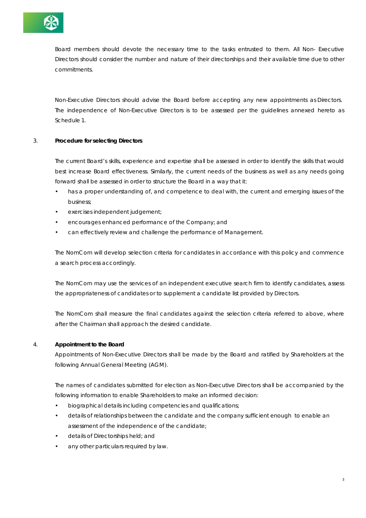

Board members should devote the necessary time to the tasks entrusted to them. All Non- Executive Directors should consider the number and nature of their directorships and their available time due to other commitments.

Non-Executive Directors should advise the Board before accepting any new appointments as Directors. The independence of Non-Executive Directors is to be assessed per the guidelines annexed hereto as Schedule 1.

#### 3. **Procedure for selecting Directors**

The current Board's skills, experience and expertise shall be assessed in order to identify the skills that would best increase Board effectiveness. Similarly, the current needs of the business as well as any needs going forward shall be assessed in order to structure the Board in a way that it:

- has a proper understanding of, and competence to deal with, the current and emerging issues of the business;
- exercises independent judgement;
- encourages enhanced performance of the Company; and
- can effectively review and challenge the performance of Management.

The NomCom will develop selection criteria for candidates in accordance with this policy and commence a search process accordingly.

The NomCom may use the services of an independent executive search firm to identify candidates, assess the appropriateness of candidates or to supplement a candidate list provided by Directors.

The NomCom shall measure the final candidates against the selection criteria referred to above, where after the Chairman shall approach the desired candidate.

#### 4. **Appointment to the Board**

Appointments of Non-Executive Directors shall be made by the Board and ratified by Shareholders at the following Annual General Meeting (AGM).

The names of candidates submitted for election as Non-Executive Directors shall be accompanied by the following information to enable Shareholders to make an informed decision:

- biographical details including competencies and qualifications;
- details of relationships between the candidate and the company sufficient enough to enable an assessment of the independence of the candidate;
- details of Directorships held; and
- any other particulars required by law.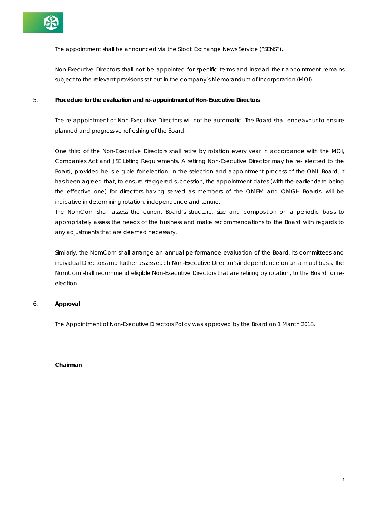

The appointment shall be announced via the Stock Exchange News Service ("SENS").

Non-Executive Directors shall not be appointed for specific terms and instead their appointment remains subject to the relevant provisions set out in the company's Memorandum of Incorporation (MOI).

#### 5. **Procedure for the evaluation and re-appointment of Non-Executive Directors**

The re-appointment of Non-Executive Directors will not be automatic. The Board shall endeavour to ensure planned and progressive refreshing of the Board.

One third of the Non-Executive Directors shall retire by rotation every year in accordance with the MOI, Companies Act and JSE Listing Requirements. A retiring Non-Executive Director may be re- elected to the Board, provided he is eligible for election. In the selection and appointment process of the OML Board, it has been agreed that, to ensure staggered succession, the appointment dates (with the earlier date being the effective one) for directors having served as members of the OMEM and OMGH Boards, will be indicative in determining rotation, independence and tenure.

The NomCom shall assess the current Board's structure, size and composition on a periodic basis to appropriately assess the needs of the business and make recommendations to the Board with regards to any adjustments that are deemed necessary.

Similarly, the NomCom shall arrange an annual performance evaluation of the Board, its committees and individual Directors and further assess each Non-Executive Director's independence on an annual basis. The NomCom shall recommend eligible Non-Executive Directors that are retiring by rotation, to the Board for reelection.

4

#### 6. **Approval**

The Appointment of Non-Executive Directors Policy was approved by the Board on 1 March 2018.

**Chairman**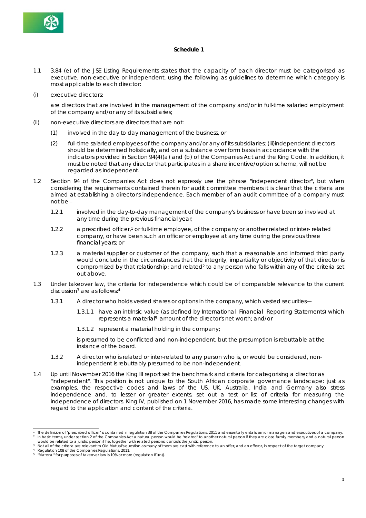

#### **Schedule 1**

- 1.1 3.84 (e) of the JSE Listing Requirements states that the capacity of each director must be categorised as executive, non-executive or independent, using the following as guidelines to determine which category is most applicable to each director:
- (i) executive directors:

are directors that are involved in the management of the company and/or in full-time salaried employment of the company and/or any of its subsidiaries;

- (ii) non-executive directors are directors that are not:
	- (1) involved in the day to day management of the business, or
	- (2) full-time salaried employees of the company and/or any of its subsidiaries; (iii)independent directors should be determined holistically, and on a substance over form basis in accordance with the indicators provided in Section 94(4)(a) and (b) of the Companies Act and the King Code. In addition, it must be noted that any director that participates in a share incentive/option scheme, will not be regarded as independent.
- 1.2 Section 94 of the Companies Act does not expressly use the phrase "independent director", but when considering the requirements contained therein for audit committee members it is clear that the criteria are aimed at establishing a director's independence. Each member of an audit committee of a company must not be –
	- 1.2.1 involved in the day-to-day management of the company's business or have been so involved at any time during the previous financial year;
	- 1.2.2 a prescribed officer,1 or full-time employee, of the company or another related or inter- related company, or have been such an officer or employee at any time during the previous three financial years; or
	- 1.2.3 a material supplier or customer of the company, such that a reasonable and informed third party would conclude in the circumstances that the integrity, impartiality or objectivity of that director is compromised by that relationship; and related<sup>2</sup> to any person who falls within any of the criteria set out above.
- 1.3 Under takeover law, the criteria for independence which could be of comparable relevance to the current discussion3 are as follows:4
	- 1.3.1 A director who holds vested shares or options in the company, which vested securities—
		- 1.3.1.1 have an intrinsic value (as defined by International Financial Reporting Statements) which represents a material<sup>5</sup> amount of the director's net worth; and/or
		- 1.3.1.2 represent a material holding in the company;

is presumed to be conflicted and non-independent, but the presumption is rebuttable at the instance of the board.

- 1.3.2 A director who is related or inter-related to any person who is, or would be considered, nonindependent is rebuttably presumed to be non-independent.
- 1.4 Up until November 2016 the King III report set the benchmark and criteria for categorising a director as "independent". This position is not unique to the South African corporate governance landscape: just as examples, the respective codes and laws of the US, UK, Australia, India and Germany also stress independence and, to lesser or greater extents, set out a test or list of criteria for measuring the independence of directors. King IV, published on 1 November 2016, has made some interesting changes with regard to the application and content of the criteria.

<sup>1</sup> The definition of "prescribed officer" is contained in regulation 38 of the Companies Regulations, 2011 and essentially entails senior managers and executives of a company.<br><sup>2</sup> In basic terms, under section 2 of the Comp would be related to a juristic person if he, together with related persons, controls the juristic person.

Not all of the criteria are relevant to Old Mutual's question as many of them are cast with reference to an offer, and an offeror, in respect of the target company.

Regulation 108 of the Companies Regulations, 2011.

<sup>5</sup> "Material" for purposes of takeover law is 10% or more (regulation 81(n)).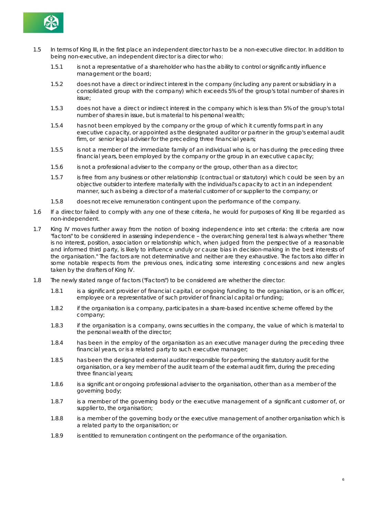

- 1.5 In terms of King III, in the first place an independent director has to be a non-executive director. In addition to being non-executive, an independent director is a director who:
	- 1.5.1 is not a representative of a shareholder who has the ability to control or significantly influence management or the board;
	- 1.5.2 does not have a direct or indirect interest in the company (including any parent or subsidiary in a consolidated group with the company) which exceeds 5% of the group's total number of shares in issue;
	- 1.5.3 does not have a direct or indirect interest in the company which is less than 5% of the group's total number of shares in issue, but is material to his personal wealth;
	- 1.5.4 has not been employed by the company or the group of which it currently forms part in any executive capacity, or appointed as the designated auditor or partner in the group's external audit firm, or senior legal adviser for the preceding three financial years;
	- 1.5.5 is not a member of the immediate family of an individual who is, or has during the preceding three financial years, been employed by the company or the group in an executive capacity;
	- 1.5.6 is not a professional adviser to the company or the group, other than as a director;
	- 1.5.7 is free from any business or other relationship (contractual or statutory) which could be seen by an objective outsider to interfere materially with the individual's capacity to act in an independent manner, such as being a director of a material customer of or supplier to the company; or
	- 1.5.8 does not receive remuneration contingent upon the performance of the company.
- 1.6 If a director failed to comply with any one of these criteria, he would for purposes of King III be regarded as non-independent.
- 1.7 King IV moves further away from the notion of boxing independence into set criteria: the criteria are now "factors" to be considered in assessing independence – the overarching general test is always whether "there is no interest, position, association or relationship which, when judged from the perspective of a reasonable and informed third party, is likely to influence unduly or cause bias in decision-making in the best interests of the organisation." The factors are not determinative and neither are they exhaustive. The factors also differ in some notable respects from the previous ones, indicating some interesting concessions and new angles taken by the drafters of King IV.
- 1.8 The newly stated range of factors ("Factors") to be considered are whether the director:
	- 1.8.1 is a significant provider of financial capital, or ongoing funding to the organisation, or is an officer, employee or a representative of such provider of financial capital or funding;
	- 1.8.2 if the organisation is a company, participates in a share-based incentive scheme offered by the company;
	- 1.8.3 if the organisation is a company, owns securities in the company, the value of which is material to the personal wealth of the director;
	- 1.8.4 has been in the employ of the organisation as an executive manager during the preceding three financial years, or is a related party to such executive manager;
	- 1.8.5 has been the designated external auditor responsible for performing the statutory audit for the organisation, or a key member of the audit team of the external audit firm, during the preceding three financial years;
	- 1.8.6 is a significant or ongoing professional adviser to the organisation, other than as a member of the governing body;
	- 1.8.7 is a member of the governing body or the executive management of a significant customer of, or supplier to, the organisation;
	- 1.8.8 is a member of the governing body or the executive management of another organisation which is a related party to the organisation; or
	- 1.8.9 is entitled to remuneration contingent on the performance of the organisation.